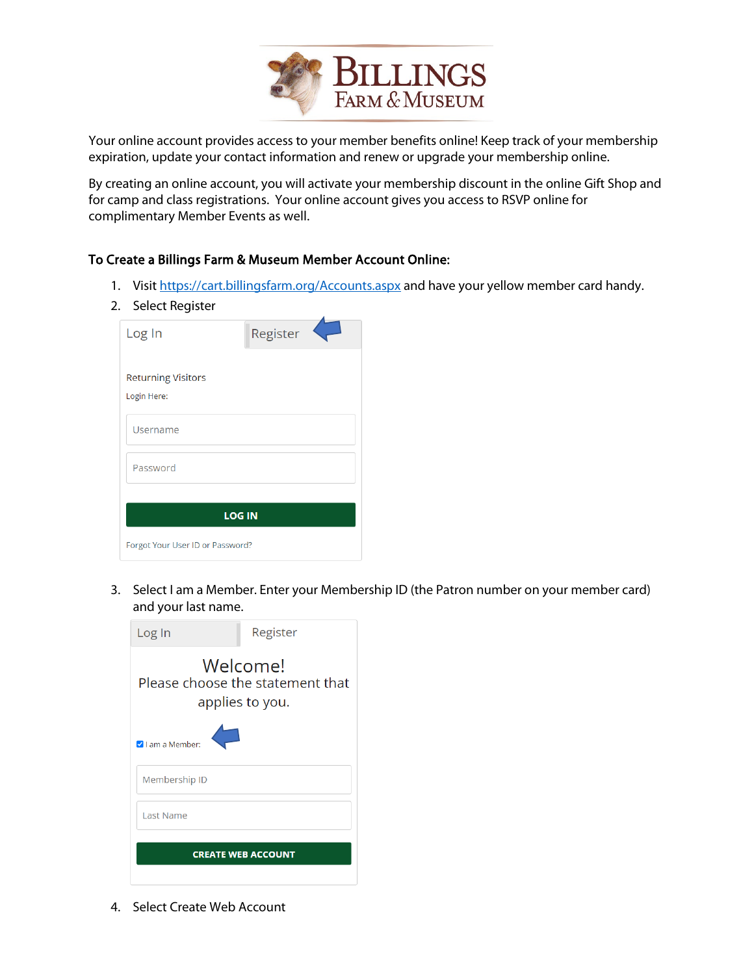

Your online account provides access to your member benefits online! Keep track of your membership expiration, update your contact information and renew or upgrade your membership online.

By creating an online account, you will activate your membership discount in the online Gift Shop and for camp and class registrations. Your online account gives you access to RSVP online for complimentary Member Events as well.

## To Create a Billings Farm & Museum Member Account Online:

- 1. Visi[t https://cart.billingsfarm.org/Accounts.aspx](https://cart.billingsfarm.org/Accounts.aspx) and have your yellow member card handy.
- 2. Select Register

| Log In                                   | Register |  |  |  |  |  |
|------------------------------------------|----------|--|--|--|--|--|
| <b>Returning Visitors</b><br>Login Here: |          |  |  |  |  |  |
| Username                                 |          |  |  |  |  |  |
| Password                                 |          |  |  |  |  |  |
| <b>LOG IN</b>                            |          |  |  |  |  |  |
| Forgot Your User ID or Password?         |          |  |  |  |  |  |

3. Select I am a Member. Enter your Membership ID (the Patron number on your member card) and your last name.



4. Select Create Web Account